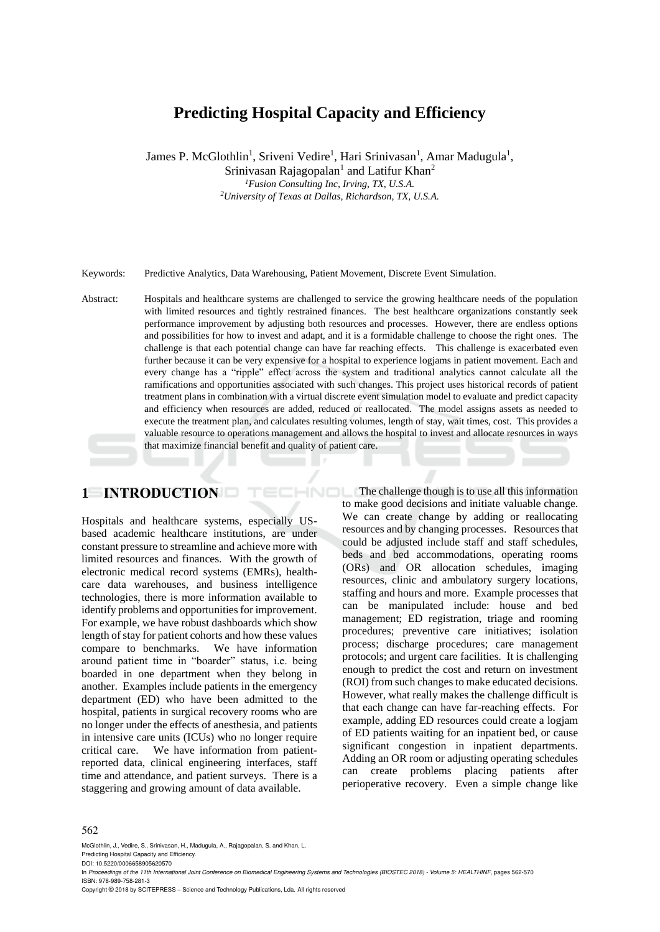# **Predicting Hospital Capacity and Efficiency**

James P. McGlothlin<sup>1</sup>, Sriveni Vedire<sup>1</sup>, Hari Srinivasan<sup>1</sup>, Amar Madugula<sup>1</sup>,

Srinivasan Rajagopalan<sup>1</sup> and Latifur Khan<sup>2</sup> *<sup>1</sup>Fusion Consulting Inc, Irving, TX, U.S.A. <sup>2</sup>University of Texas at Dallas, Richardson, TX, U.S.A.*

Keywords: Predictive Analytics, Data Warehousing, Patient Movement, Discrete Event Simulation.

Abstract: Hospitals and healthcare systems are challenged to service the growing healthcare needs of the population with limited resources and tightly restrained finances. The best healthcare organizations constantly seek performance improvement by adjusting both resources and processes. However, there are endless options and possibilities for how to invest and adapt, and it is a formidable challenge to choose the right ones. The challenge is that each potential change can have far reaching effects. This challenge is exacerbated even further because it can be very expensive for a hospital to experience logjams in patient movement. Each and every change has a "ripple" effect across the system and traditional analytics cannot calculate all the ramifications and opportunities associated with such changes. This project uses historical records of patient treatment plans in combination with a virtual discrete event simulation model to evaluate and predict capacity and efficiency when resources are added, reduced or reallocated. The model assigns assets as needed to execute the treatment plan, and calculates resulting volumes, length of stay, wait times, cost. This provides a valuable resource to operations management and allows the hospital to invest and allocate resources in ways that maximize financial benefit and quality of patient care.

# **1 INTRODUCTION**

Hospitals and healthcare systems, especially USbased academic healthcare institutions, are under constant pressure to streamline and achieve more with limited resources and finances. With the growth of electronic medical record systems (EMRs), healthcare data warehouses, and business intelligence technologies, there is more information available to identify problems and opportunities for improvement. For example, we have robust dashboards which show length of stay for patient cohorts and how these values compare to benchmarks. We have information around patient time in "boarder" status, i.e. being boarded in one department when they belong in another. Examples include patients in the emergency department (ED) who have been admitted to the hospital, patients in surgical recovery rooms who are no longer under the effects of anesthesia, and patients in intensive care units (ICUs) who no longer require critical care. We have information from patientreported data, clinical engineering interfaces, staff time and attendance, and patient surveys. There is a staggering and growing amount of data available.

The challenge though is to use all this information HNOL to make good decisions and initiate valuable change. We can create change by adding or reallocating resources and by changing processes. Resources that could be adjusted include staff and staff schedules, beds and bed accommodations, operating rooms (ORs) and OR allocation schedules, imaging resources, clinic and ambulatory surgery locations, staffing and hours and more. Example processes that can be manipulated include: house and bed management; ED registration, triage and rooming procedures; preventive care initiatives; isolation process; discharge procedures; care management protocols; and urgent care facilities. It is challenging enough to predict the cost and return on investment (ROI) from such changes to make educated decisions. However, what really makes the challenge difficult is that each change can have far-reaching effects. For example, adding ED resources could create a logjam of ED patients waiting for an inpatient bed, or cause significant congestion in inpatient departments. Adding an OR room or adjusting operating schedules can create problems placing patients after perioperative recovery. Even a simple change like

#### 562

McGlothlin, J., Vedire, S., Srinivasan, H., Madugula, A., Rajagopalan, S. and Khan, L. Predicting Hospital Capacity and Efficiency.

DOI: 10.5220/0006658905620570

In *Proceedings of the 11th International Joint Conference on Biomedical Engineering Systems and Technologies (BIOSTEC 2018) - Volume 5: HEALTHINF*, pages 562-570 ISBN: 978-989-758-281-3

Copyright © 2018 by SCITEPRESS – Science and Technology Publications, Lda. All rights reserved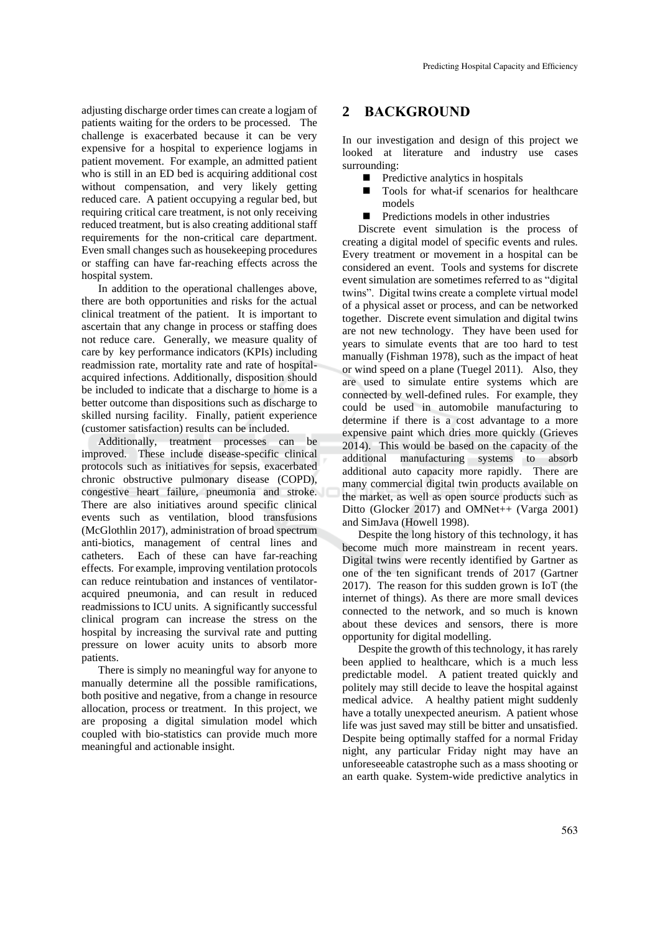adjusting discharge order times can create a logjam of patients waiting for the orders to be processed. The challenge is exacerbated because it can be very expensive for a hospital to experience logjams in patient movement. For example, an admitted patient who is still in an ED bed is acquiring additional cost without compensation, and very likely getting reduced care. A patient occupying a regular bed, but requiring critical care treatment, is not only receiving reduced treatment, but is also creating additional staff requirements for the non-critical care department. Even small changes such as housekeeping procedures or staffing can have far-reaching effects across the hospital system.

In addition to the operational challenges above, there are both opportunities and risks for the actual clinical treatment of the patient. It is important to ascertain that any change in process or staffing does not reduce care. Generally, we measure quality of care by key performance indicators (KPIs) including readmission rate, mortality rate and rate of hospitalacquired infections. Additionally, disposition should be included to indicate that a discharge to home is a better outcome than dispositions such as discharge to skilled nursing facility. Finally, patient experience (customer satisfaction) results can be included.

Additionally, treatment processes can be improved. These include disease-specific clinical protocols such as initiatives for sepsis, exacerbated chronic obstructive pulmonary disease (COPD), congestive heart failure, pneumonia and stroke. There are also initiatives around specific clinical events such as ventilation, blood transfusions (McGlothlin 2017), administration of broad spectrum anti-biotics, management of central lines and catheters. Each of these can have far-reaching effects. For example, improving ventilation protocols can reduce reintubation and instances of ventilatoracquired pneumonia, and can result in reduced readmissions to ICU units. A significantly successful clinical program can increase the stress on the hospital by increasing the survival rate and putting pressure on lower acuity units to absorb more patients.

There is simply no meaningful way for anyone to manually determine all the possible ramifications, both positive and negative, from a change in resource allocation, process or treatment. In this project, we are proposing a digital simulation model which coupled with bio-statistics can provide much more meaningful and actionable insight.

# **2 BACKGROUND**

In our investigation and design of this project we looked at literature and industry use cases surrounding:

- $\blacksquare$  Predictive analytics in hospitals
- Tools for what-if scenarios for healthcare models
- **Predictions models in other industries**

Discrete event simulation is the process of creating a digital model of specific events and rules. Every treatment or movement in a hospital can be considered an event. Tools and systems for discrete event simulation are sometimes referred to as "digital twins". Digital twins create a complete virtual model of a physical asset or process, and can be networked together. Discrete event simulation and digital twins are not new technology. They have been used for years to simulate events that are too hard to test manually (Fishman 1978), such as the impact of heat or wind speed on a plane (Tuegel 2011). Also, they are used to simulate entire systems which are connected by well-defined rules. For example, they could be used in automobile manufacturing to determine if there is a cost advantage to a more expensive paint which dries more quickly (Grieves 2014). This would be based on the capacity of the additional manufacturing systems to absorb additional auto capacity more rapidly. There are many commercial digital twin products available on the market, as well as open source products such as Ditto (Glocker 2017) and OMNet++ (Varga 2001) and SimJava (Howell 1998).

Despite the long history of this technology, it has become much more mainstream in recent years. Digital twins were recently identified by Gartner as one of the ten significant trends of 2017 (Gartner 2017). The reason for this sudden grown is IoT (the internet of things). As there are more small devices connected to the network, and so much is known about these devices and sensors, there is more opportunity for digital modelling.

Despite the growth of this technology, it has rarely been applied to healthcare, which is a much less predictable model. A patient treated quickly and politely may still decide to leave the hospital against medical advice. A healthy patient might suddenly have a totally unexpected aneurism. A patient whose life was just saved may still be bitter and unsatisfied. Despite being optimally staffed for a normal Friday night, any particular Friday night may have an unforeseeable catastrophe such as a mass shooting or an earth quake. System-wide predictive analytics in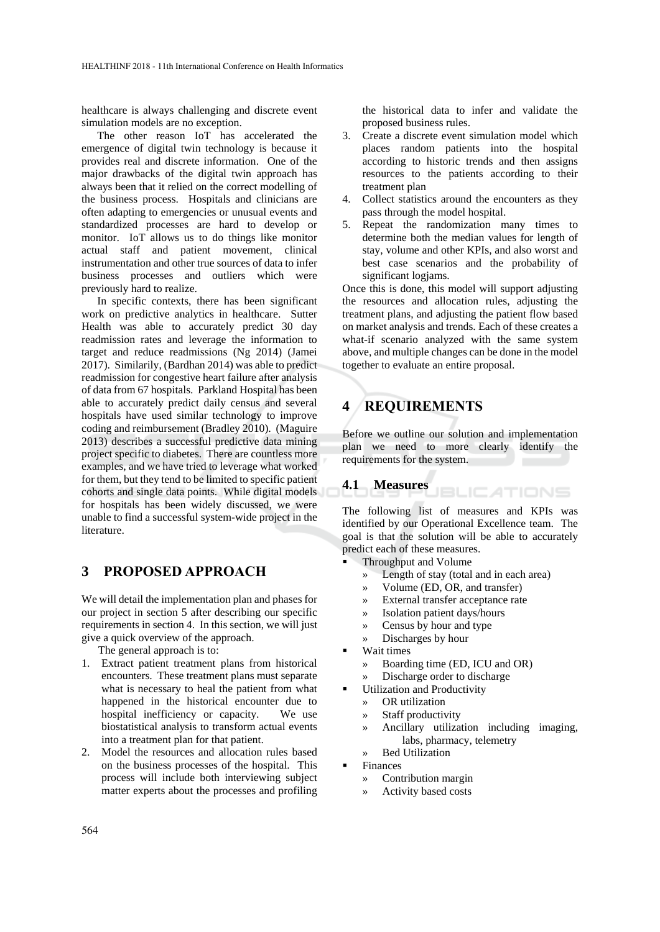healthcare is always challenging and discrete event simulation models are no exception.

The other reason IoT has accelerated the emergence of digital twin technology is because it provides real and discrete information. One of the major drawbacks of the digital twin approach has always been that it relied on the correct modelling of the business process. Hospitals and clinicians are often adapting to emergencies or unusual events and standardized processes are hard to develop or monitor. IoT allows us to do things like monitor actual staff and patient movement, clinical instrumentation and other true sources of data to infer business processes and outliers which were previously hard to realize.

In specific contexts, there has been significant work on predictive analytics in healthcare. Sutter Health was able to accurately predict 30 day readmission rates and leverage the information to target and reduce readmissions (Ng 2014) (Jamei 2017). Similarily, (Bardhan 2014) was able to predict readmission for congestive heart failure after analysis of data from 67 hospitals. Parkland Hospital has been able to accurately predict daily census and several hospitals have used similar technology to improve coding and reimbursement (Bradley 2010). (Maguire 2013) describes a successful predictive data mining project specific to diabetes. There are countless more examples, and we have tried to leverage what worked for them, but they tend to be limited to specific patient cohorts and single data points. While digital models for hospitals has been widely discussed, we were unable to find a successful system-wide project in the literature.

# **3 PROPOSED APPROACH**

We will detail the implementation plan and phases for our project in section 5 after describing our specific requirements in section 4. In this section, we will just give a quick overview of the approach.

The general approach is to:

- 1. Extract patient treatment plans from historical encounters. These treatment plans must separate what is necessary to heal the patient from what happened in the historical encounter due to hospital inefficiency or capacity. We use biostatistical analysis to transform actual events into a treatment plan for that patient.
- 2. Model the resources and allocation rules based on the business processes of the hospital. This process will include both interviewing subject matter experts about the processes and profiling

the historical data to infer and validate the proposed business rules.

- 3. Create a discrete event simulation model which places random patients into the hospital according to historic trends and then assigns resources to the patients according to their treatment plan
- 4. Collect statistics around the encounters as they pass through the model hospital.
- 5. Repeat the randomization many times to determine both the median values for length of stay, volume and other KPIs, and also worst and best case scenarios and the probability of significant logjams.

Once this is done, this model will support adjusting the resources and allocation rules, adjusting the treatment plans, and adjusting the patient flow based on market analysis and trends. Each of these creates a what-if scenario analyzed with the same system above, and multiple changes can be done in the model together to evaluate an entire proposal.

# **4 REQUIREMENTS**

Before we outline our solution and implementation plan we need to more clearly identify the requirements for the system.

#### **4.1 Measures JBLICATIONS**

The following list of measures and KPIs was identified by our Operational Excellence team. The goal is that the solution will be able to accurately predict each of these measures.

- Throughput and Volume
	- » Length of stay (total and in each area)
	- » Volume (ED, OR, and transfer)
	- » External transfer acceptance rate
	- » Isolation patient days/hours
	- » Census by hour and type
	- » Discharges by hour
- Wait times
	- » Boarding time (ED, ICU and OR)
	- Discharge order to discharge
- **Utilization and Productivity** 
	- » OR utilization
	- » Staff productivity
	- » Ancillary utilization including imaging, labs, pharmacy, telemetry
	- » Bed Utilization
- **Finances** 
	- » Contribution margin
	- » Activity based costs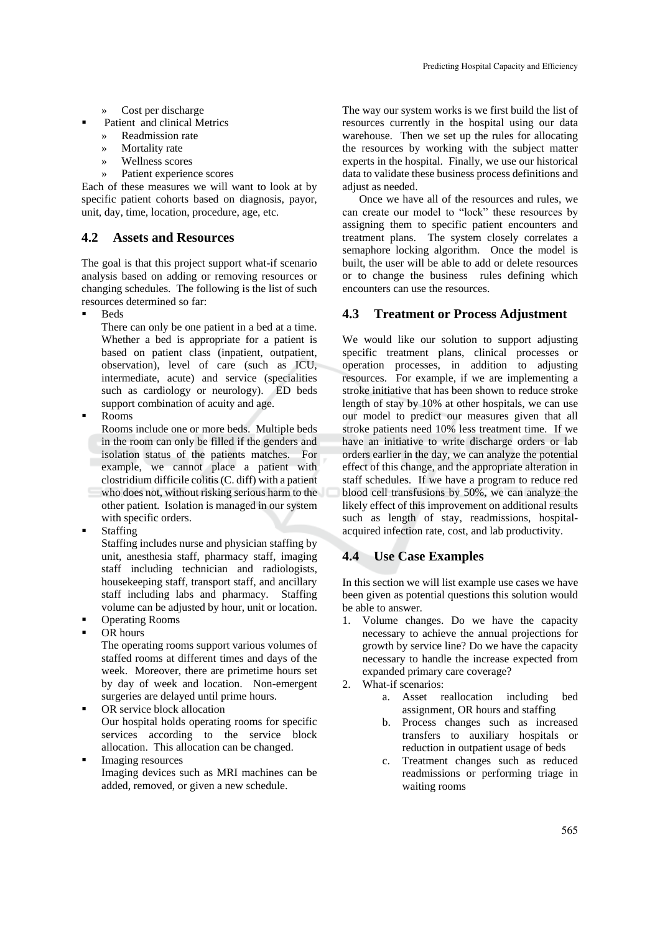- » Cost per discharge
- Patient and clinical Metrics
	- » Readmission rate
	- Mortality rate
	- » Wellness scores
	- » Patient experience scores

Each of these measures we will want to look at by specific patient cohorts based on diagnosis, payor, unit, day, time, location, procedure, age, etc.

## **4.2 Assets and Resources**

The goal is that this project support what-if scenario analysis based on adding or removing resources or changing schedules. The following is the list of such resources determined so far:

**Beds** 

There can only be one patient in a bed at a time. Whether a bed is appropriate for a patient is based on patient class (inpatient, outpatient, observation), level of care (such as ICU, intermediate, acute) and service (specialities such as cardiology or neurology). ED beds support combination of acuity and age.

**Rooms** 

Rooms include one or more beds. Multiple beds in the room can only be filled if the genders and isolation status of the patients matches. For example, we cannot place a patient with clostridium difficile colitis (C. diff) with a patient who does not, without risking serious harm to the other patient. Isolation is managed in our system with specific orders.

**Staffing** 

Staffing includes nurse and physician staffing by unit, anesthesia staff, pharmacy staff, imaging staff including technician and radiologists, housekeeping staff, transport staff, and ancillary staff including labs and pharmacy. Staffing volume can be adjusted by hour, unit or location. ■ Operating Rooms

OR hours

The operating rooms support various volumes of staffed rooms at different times and days of the week. Moreover, there are primetime hours set by day of week and location. Non-emergent surgeries are delayed until prime hours.

- OR service block allocation Our hospital holds operating rooms for specific services according to the service block allocation. This allocation can be changed.
- Imaging resources Imaging devices such as MRI machines can be added, removed, or given a new schedule.

The way our system works is we first build the list of resources currently in the hospital using our data warehouse. Then we set up the rules for allocating the resources by working with the subject matter experts in the hospital. Finally, we use our historical data to validate these business process definitions and adjust as needed.

Once we have all of the resources and rules, we can create our model to "lock" these resources by assigning them to specific patient encounters and treatment plans. The system closely correlates a semaphore locking algorithm. Once the model is built, the user will be able to add or delete resources or to change the business rules defining which encounters can use the resources.

## **4.3 Treatment or Process Adjustment**

We would like our solution to support adjusting specific treatment plans, clinical processes or operation processes, in addition to adjusting resources. For example, if we are implementing a stroke initiative that has been shown to reduce stroke length of stay by 10% at other hospitals, we can use our model to predict our measures given that all stroke patients need 10% less treatment time. If we have an initiative to write discharge orders or lab orders earlier in the day, we can analyze the potential effect of this change, and the appropriate alteration in staff schedules. If we have a program to reduce red blood cell transfusions by 50%, we can analyze the likely effect of this improvement on additional results such as length of stay, readmissions, hospitalacquired infection rate, cost, and lab productivity.

## **4.4 Use Case Examples**

In this section we will list example use cases we have been given as potential questions this solution would be able to answer.

- 1. Volume changes. Do we have the capacity necessary to achieve the annual projections for growth by service line? Do we have the capacity necessary to handle the increase expected from expanded primary care coverage?
- 2. What-if scenarios:
	- a. Asset reallocation including bed assignment, OR hours and staffing
	- b. Process changes such as increased transfers to auxiliary hospitals or reduction in outpatient usage of beds
	- c. Treatment changes such as reduced readmissions or performing triage in waiting rooms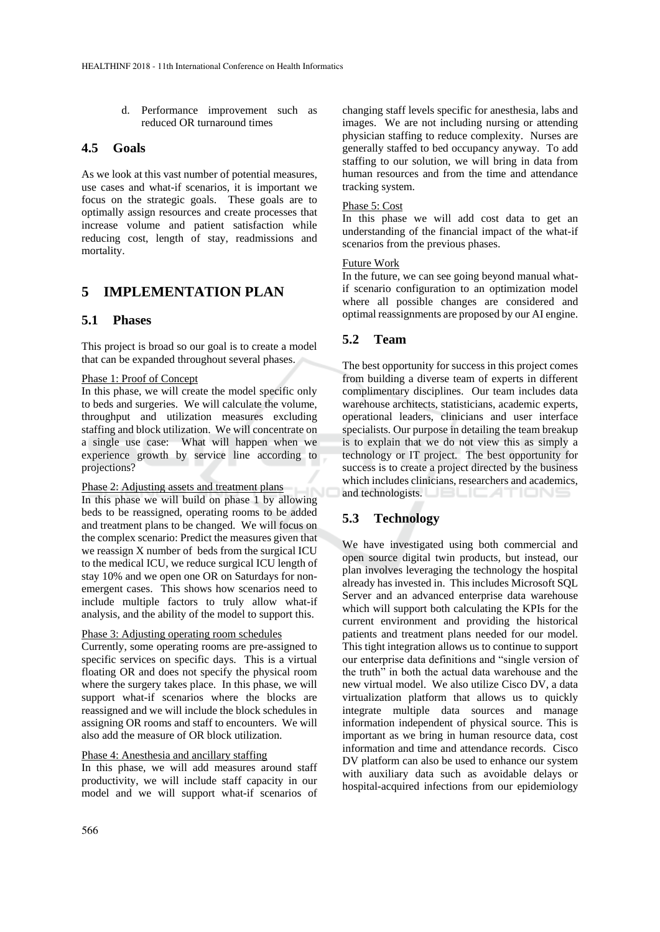d. Performance improvement such as reduced OR turnaround times

## **4.5 Goals**

As we look at this vast number of potential measures, use cases and what-if scenarios, it is important we focus on the strategic goals. These goals are to optimally assign resources and create processes that increase volume and patient satisfaction while reducing cost, length of stay, readmissions and mortality.

# **5 IMPLEMENTATION PLAN**

## **5.1 Phases**

This project is broad so our goal is to create a model that can be expanded throughout several phases.

#### Phase 1: Proof of Concept

In this phase, we will create the model specific only to beds and surgeries. We will calculate the volume, throughput and utilization measures excluding staffing and block utilization. We will concentrate on a single use case: What will happen when we experience growth by service line according to projections?

### Phase 2: Adjusting assets and treatment plans

In this phase we will build on phase 1 by allowing beds to be reassigned, operating rooms to be added and treatment plans to be changed. We will focus on the complex scenario: Predict the measures given that we reassign X number of beds from the surgical ICU to the medical ICU, we reduce surgical ICU length of stay 10% and we open one OR on Saturdays for nonemergent cases. This shows how scenarios need to include multiple factors to truly allow what-if analysis, and the ability of the model to support this.

#### Phase 3: Adjusting operating room schedules

Currently, some operating rooms are pre-assigned to specific services on specific days. This is a virtual floating OR and does not specify the physical room where the surgery takes place. In this phase, we will support what-if scenarios where the blocks are reassigned and we will include the block schedules in assigning OR rooms and staff to encounters. We will also add the measure of OR block utilization.

## Phase 4: Anesthesia and ancillary staffing

In this phase, we will add measures around staff productivity, we will include staff capacity in our model and we will support what-if scenarios of changing staff levels specific for anesthesia, labs and images. We are not including nursing or attending physician staffing to reduce complexity. Nurses are generally staffed to bed occupancy anyway. To add staffing to our solution, we will bring in data from human resources and from the time and attendance tracking system.

### Phase 5: Cost

In this phase we will add cost data to get an understanding of the financial impact of the what-if scenarios from the previous phases.

#### Future Work

In the future, we can see going beyond manual whatif scenario configuration to an optimization model where all possible changes are considered and optimal reassignments are proposed by our AI engine.

## **5.2 Team**

The best opportunity for success in this project comes from building a diverse team of experts in different complimentary disciplines. Our team includes data warehouse architects, statisticians, academic experts, operational leaders, clinicians and user interface specialists. Our purpose in detailing the team breakup is to explain that we do not view this as simply a technology or IT project. The best opportunity for success is to create a project directed by the business which includes clinicians, researchers and academics, and technologists.

# **5.3 Technology**

We have investigated using both commercial and open source digital twin products, but instead, our plan involves leveraging the technology the hospital already has invested in. This includes Microsoft SQL Server and an advanced enterprise data warehouse which will support both calculating the KPIs for the current environment and providing the historical patients and treatment plans needed for our model. This tight integration allows us to continue to support our enterprise data definitions and "single version of the truth" in both the actual data warehouse and the new virtual model. We also utilize Cisco DV, a data virtualization platform that allows us to quickly integrate multiple data sources and manage information independent of physical source. This is important as we bring in human resource data, cost information and time and attendance records. Cisco DV platform can also be used to enhance our system with auxiliary data such as avoidable delays or hospital-acquired infections from our epidemiology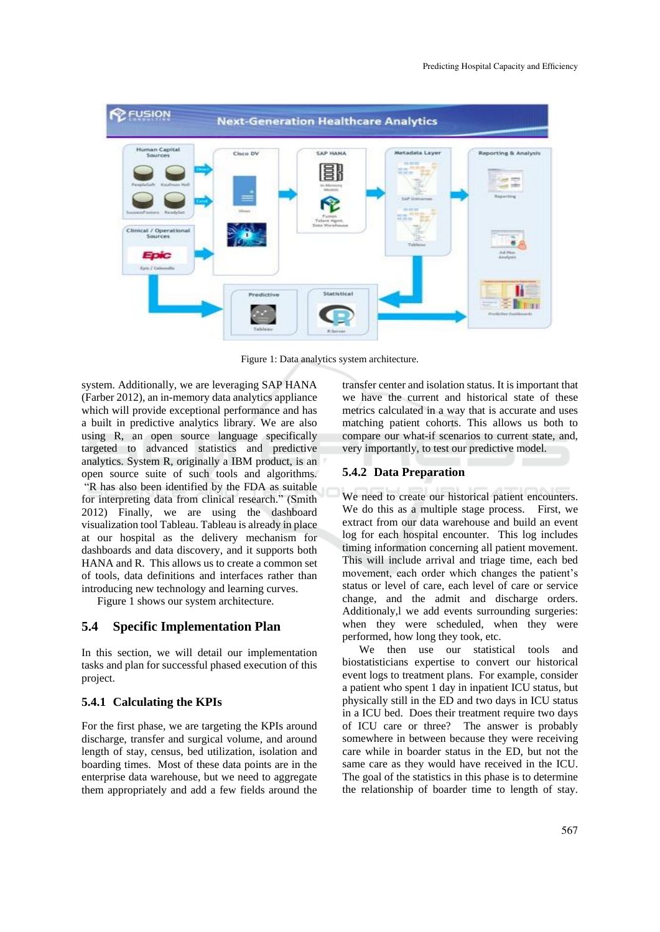

Figure 1: Data analytics system architecture.

system. Additionally, we are leveraging SAP HANA (Farber 2012), an in-memory data analytics appliance which will provide exceptional performance and has a built in predictive analytics library. We are also using R, an open source language specifically targeted to advanced statistics and predictive analytics. System R, originally a IBM product, is an open source suite of such tools and algorithms. "R has also been identified by the FDA as suitable for interpreting data from clinical research." (Smith 2012) Finally, we are using the dashboard visualization tool Tableau. Tableau is already in place at our hospital as the delivery mechanism for dashboards and data discovery, and it supports both HANA and R. This allows us to create a common set of tools, data definitions and interfaces rather than introducing new technology and learning curves.

Figure 1 shows our system architecture.

## **5.4 Specific Implementation Plan**

In this section, we will detail our implementation tasks and plan for successful phased execution of this project.

## **5.4.1 Calculating the KPIs**

For the first phase, we are targeting the KPIs around discharge, transfer and surgical volume, and around length of stay, census, bed utilization, isolation and boarding times. Most of these data points are in the enterprise data warehouse, but we need to aggregate them appropriately and add a few fields around the

transfer center and isolation status. It is important that we have the current and historical state of these metrics calculated in a way that is accurate and uses matching patient cohorts. This allows us both to compare our what-if scenarios to current state, and, very importantly, to test our predictive model.

## **5.4.2 Data Preparation**

We need to create our historical patient encounters. We do this as a multiple stage process. First, we extract from our data warehouse and build an event log for each hospital encounter. This log includes timing information concerning all patient movement. This will include arrival and triage time, each bed movement, each order which changes the patient's status or level of care, each level of care or service change, and the admit and discharge orders. Additionaly,l we add events surrounding surgeries: when they were scheduled, when they were performed, how long they took, etc.

We then use our statistical tools and biostatisticians expertise to convert our historical event logs to treatment plans. For example, consider a patient who spent 1 day in inpatient ICU status, but physically still in the ED and two days in ICU status in a ICU bed. Does their treatment require two days of ICU care or three? The answer is probably somewhere in between because they were receiving care while in boarder status in the ED, but not the same care as they would have received in the ICU. The goal of the statistics in this phase is to determine the relationship of boarder time to length of stay.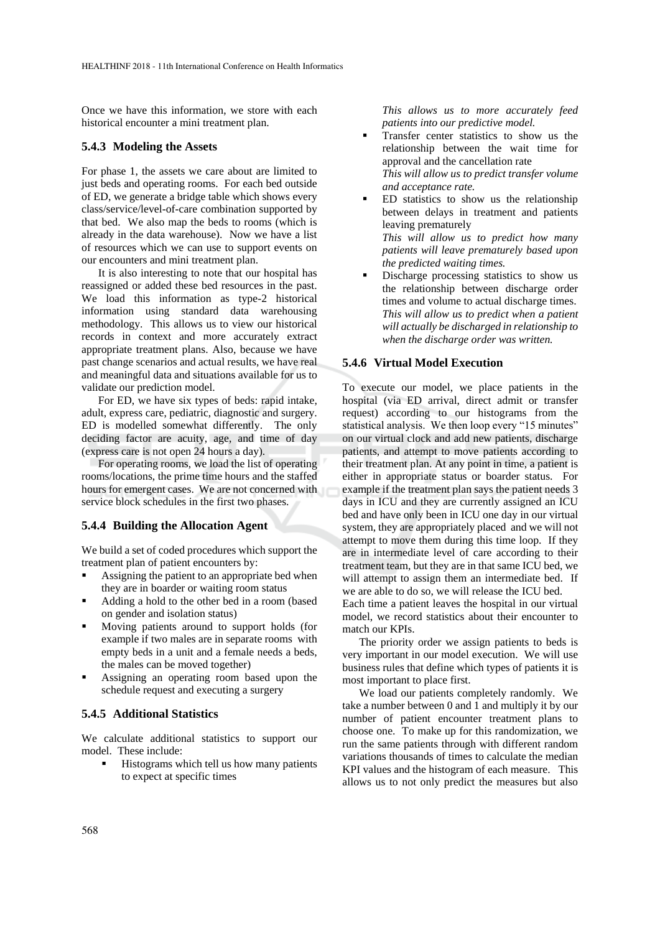Once we have this information, we store with each historical encounter a mini treatment plan.

### **5.4.3 Modeling the Assets**

For phase 1, the assets we care about are limited to just beds and operating rooms. For each bed outside of ED, we generate a bridge table which shows every class/service/level-of-care combination supported by that bed. We also map the beds to rooms (which is already in the data warehouse). Now we have a list of resources which we can use to support events on our encounters and mini treatment plan.

It is also interesting to note that our hospital has reassigned or added these bed resources in the past. We load this information as type-2 historical information using standard data warehousing methodology. This allows us to view our historical records in context and more accurately extract appropriate treatment plans. Also, because we have past change scenarios and actual results, we have real and meaningful data and situations available for us to validate our prediction model.

For ED, we have six types of beds: rapid intake, adult, express care, pediatric, diagnostic and surgery. ED is modelled somewhat differently. The only deciding factor are acuity, age, and time of day (express care is not open 24 hours a day).

For operating rooms, we load the list of operating rooms/locations, the prime time hours and the staffed hours for emergent cases. We are not concerned with service block schedules in the first two phases.

### **5.4.4 Building the Allocation Agent**

We build a set of coded procedures which support the treatment plan of patient encounters by:

- Assigning the patient to an appropriate bed when they are in boarder or waiting room status
- Adding a hold to the other bed in a room (based on gender and isolation status)
- Moving patients around to support holds (for example if two males are in separate rooms with empty beds in a unit and a female needs a beds, the males can be moved together)
- Assigning an operating room based upon the schedule request and executing a surgery

### **5.4.5 Additional Statistics**

We calculate additional statistics to support our model. These include:

Histograms which tell us how many patients to expect at specific times

*This allows us to more accurately feed patients into our predictive model.* 

- Transfer center statistics to show us the relationship between the wait time for approval and the cancellation rate *This will allow us to predict transfer volume and acceptance rate.*
- ED statistics to show us the relationship between delays in treatment and patients leaving prematurely

*This will allow us to predict how many patients will leave prematurely based upon the predicted waiting times.*

Discharge processing statistics to show us the relationship between discharge order times and volume to actual discharge times. *This will allow us to predict when a patient will actually be discharged in relationship to when the discharge order was written.*

#### **5.4.6 Virtual Model Execution**

To execute our model, we place patients in the hospital (via ED arrival, direct admit or transfer request) according to our histograms from the statistical analysis. We then loop every "15 minutes" on our virtual clock and add new patients, discharge patients, and attempt to move patients according to their treatment plan. At any point in time, a patient is either in appropriate status or boarder status. For example if the treatment plan says the patient needs 3 days in ICU and they are currently assigned an ICU bed and have only been in ICU one day in our virtual system, they are appropriately placed and we will not attempt to move them during this time loop. If they are in intermediate level of care according to their treatment team, but they are in that same ICU bed, we will attempt to assign them an intermediate bed. If we are able to do so, we will release the ICU bed.

Each time a patient leaves the hospital in our virtual model, we record statistics about their encounter to match our KPIs.

The priority order we assign patients to beds is very important in our model execution. We will use business rules that define which types of patients it is most important to place first.

We load our patients completely randomly. We take a number between 0 and 1 and multiply it by our number of patient encounter treatment plans to choose one. To make up for this randomization, we run the same patients through with different random variations thousands of times to calculate the median KPI values and the histogram of each measure. This allows us to not only predict the measures but also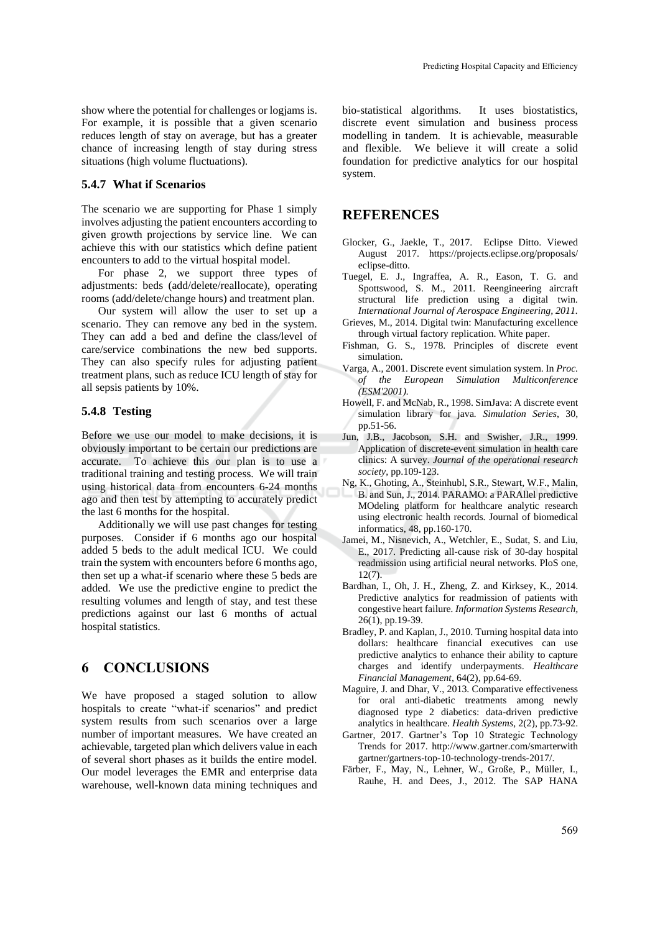show where the potential for challenges or logjams is. For example, it is possible that a given scenario reduces length of stay on average, but has a greater chance of increasing length of stay during stress situations (high volume fluctuations).

#### **5.4.7 What if Scenarios**

The scenario we are supporting for Phase 1 simply involves adjusting the patient encounters according to given growth projections by service line. We can achieve this with our statistics which define patient encounters to add to the virtual hospital model.

For phase 2, we support three types of adjustments: beds (add/delete/reallocate), operating rooms (add/delete/change hours) and treatment plan.

Our system will allow the user to set up a scenario. They can remove any bed in the system. They can add a bed and define the class/level of care/service combinations the new bed supports. They can also specify rules for adjusting patient treatment plans, such as reduce ICU length of stay for all sepsis patients by 10%.

### **5.4.8 Testing**

Before we use our model to make decisions, it is obviously important to be certain our predictions are accurate. To achieve this our plan is to use a traditional training and testing process. We will train using historical data from encounters 6-24 months ago and then test by attempting to accurately predict the last 6 months for the hospital.

Additionally we will use past changes for testing purposes. Consider if 6 months ago our hospital added 5 beds to the adult medical ICU. We could train the system with encounters before 6 months ago, then set up a what-if scenario where these 5 beds are added. We use the predictive engine to predict the resulting volumes and length of stay, and test these predictions against our last 6 months of actual hospital statistics.

# **6 CONCLUSIONS**

We have proposed a staged solution to allow hospitals to create "what-if scenarios" and predict system results from such scenarios over a large number of important measures. We have created an achievable, targeted plan which delivers value in each of several short phases as it builds the entire model. Our model leverages the EMR and enterprise data warehouse, well-known data mining techniques and

bio-statistical algorithms. It uses biostatistics, discrete event simulation and business process modelling in tandem. It is achievable, measurable and flexible. We believe it will create a solid foundation for predictive analytics for our hospital system.

## **REFERENCES**

- Glocker, G., Jaekle, T., 2017. Eclipse Ditto. Viewed August 2017. https://projects.eclipse.org/proposals/ eclipse-ditto.
- Tuegel, E. J., Ingraffea, A. R., Eason, T. G. and Spottswood, S. M., 2011. Reengineering aircraft structural life prediction using a digital twin*. International Journal of Aerospace Engineering, 2011.*
- Grieves, M., 2014. Digital twin: Manufacturing excellence through virtual factory replication. White paper.
- Fishman, G. S., 1978. Principles of discrete event simulation.
- Varga, A., 2001. Discrete event simulation system. In *Proc. of the European Simulation Multiconference (ESM'2001).*
- Howell, F. and McNab, R., 1998. SimJava: A discrete event simulation library for java*. Simulation Series*, 30, pp.51-56.
- Jun, J.B., Jacobson, S.H. and Swisher, J.R., 1999. Application of discrete-event simulation in health care clinics: A survey. *Journal of the operational research society*, pp.109-123.
- Ng, K., Ghoting, A., Steinhubl, S.R., Stewart, W.F., Malin, B. and Sun, J., 2014. PARAMO: a PARAllel predictive MOdeling platform for healthcare analytic research using electronic health records. Journal of biomedical informatics, 48, pp.160-170.
- Jamei, M., Nisnevich, A., Wetchler, E., Sudat, S. and Liu, E., 2017. Predicting all-cause risk of 30-day hospital readmission using artificial neural networks. PloS one,  $12(7)$ .
- Bardhan, I., Oh, J. H., Zheng, Z. and Kirksey, K., 2014. Predictive analytics for readmission of patients with congestive heart failure*. Information Systems Research,*  26(1), pp.19-39.
- Bradley, P. and Kaplan, J., 2010. Turning hospital data into dollars: healthcare financial executives can use predictive analytics to enhance their ability to capture charges and identify underpayments. *Healthcare Financial Management*, 64(2), pp.64-69.
- Maguire, J. and Dhar, V., 2013. Comparative effectiveness for oral anti-diabetic treatments among newly diagnosed type 2 diabetics: data-driven predictive analytics in healthcare. *Health Systems*, 2(2), pp.73-92.
- Gartner, 2017. Gartner's Top 10 Strategic Technology Trends for 2017. http://www.gartner.com/smarterwith gartner/gartners-top-10-technology-trends-2017/.
- Färber, F., May, N., Lehner, W., Große, P., Müller, I., Rauhe, H. and Dees, J., 2012. The SAP HANA